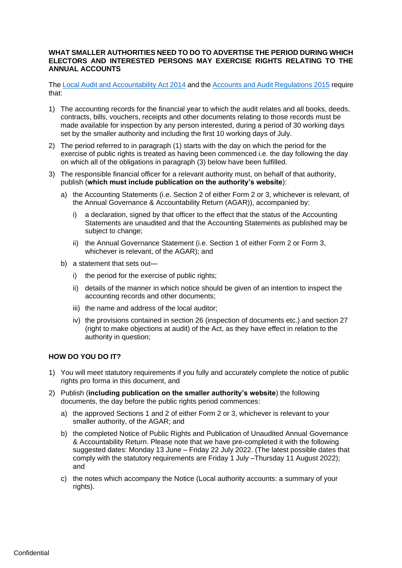## **WHAT SMALLER AUTHORITIES NEED TO DO TO ADVERTISE THE PERIOD DURING WHICH ELECTORS AND INTERESTED PERSONS MAY EXERCISE RIGHTS RELATING TO THE ANNUAL ACCOUNTS**

Th[e Local Audit and Accountability Act 2014](http://www.legislation.gov.uk/ukpga/2014/2/contents) and th[e Accounts and Audit Regulations 2015](http://www.legislation.gov.uk/uksi/2015/234/contents/made) require that:

- 1) The accounting records for the financial year to which the audit relates and all books, deeds, contracts, bills, vouchers, receipts and other documents relating to those records must be made available for inspection by any person interested, during a period of 30 working days set by the smaller authority and including the first 10 working days of July.
- 2) The period referred to in paragraph (1) starts with the day on which the period for the exercise of public rights is treated as having been commenced i.e. the day following the day on which all of the obligations in paragraph (3) below have been fulfilled.
- 3) The responsible financial officer for a relevant authority must, on behalf of that authority, publish (**which must include publication on the authority's website**):
	- a) the Accounting Statements (i.e. Section 2 of either Form 2 or 3, whichever is relevant, of the Annual Governance & Accountability Return (AGAR)), accompanied by:
		- i) a declaration, signed by that officer to the effect that the status of the Accounting Statements are unaudited and that the Accounting Statements as published may be subject to change;
		- ii) the Annual Governance Statement (i.e. Section 1 of either Form 2 or Form 3, whichever is relevant, of the AGAR); and
	- b) a statement that sets out
		- i) the period for the exercise of public rights;
		- ii) details of the manner in which notice should be given of an intention to inspect the accounting records and other documents;
		- iii) the name and address of the local auditor;
		- iv) the provisions contained in section 26 (inspection of documents etc.) and section 27 (right to make objections at audit) of the Act, as they have effect in relation to the authority in question;

## **HOW DO YOU DO IT?**

- 1) You will meet statutory requirements if you fully and accurately complete the notice of public rights pro forma in this document, and
- 2) Publish (**including publication on the smaller authority's website**) the following documents, the day before the public rights period commences:
	- a) the approved Sections 1 and 2 of either Form 2 or 3, whichever is relevant to your smaller authority, of the AGAR; and
	- b) the completed Notice of Public Rights and Publication of Unaudited Annual Governance & Accountability Return. Please note that we have pre-completed it with the following suggested dates: Monday 13 June – Friday 22 July 2022. (The latest possible dates that comply with the statutory requirements are Friday 1 July –Thursday 11 August 2022); and
	- c) the notes which accompany the Notice (Local authority accounts: a summary of your rights).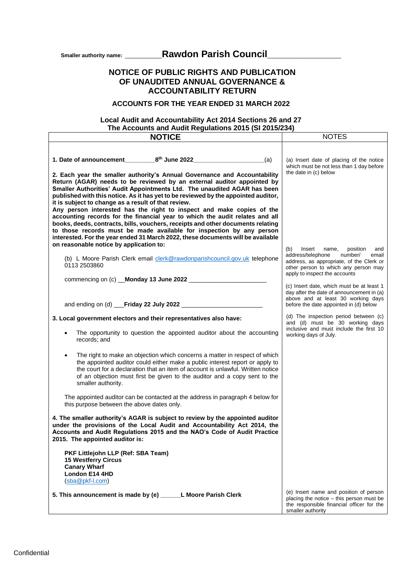Smaller authority name: **\_\_\_\_\_\_\_\_\_\_\_Rawdon Parish Council\_\_\_\_\_\_\_\_\_\_\_\_\_\_\_** 

# **NOTICE OF PUBLIC RIGHTS AND PUBLICATION OF UNAUDITED ANNUAL GOVERNANCE & ACCOUNTABILITY RETURN**

## **ACCOUNTS FOR THE YEAR ENDED 31 MARCH 2022**

## **Local Audit and Accountability Act 2014 Sections 26 and 27 The Accounts and Audit Regulations 2015 (SI 2015/234)**

| <b>NOTICE</b>                                                                                                                                                                                                                                                                                                                                                                                                                                         | <b>NOTES</b>                                                                                                                                                                                            |
|-------------------------------------------------------------------------------------------------------------------------------------------------------------------------------------------------------------------------------------------------------------------------------------------------------------------------------------------------------------------------------------------------------------------------------------------------------|---------------------------------------------------------------------------------------------------------------------------------------------------------------------------------------------------------|
|                                                                                                                                                                                                                                                                                                                                                                                                                                                       |                                                                                                                                                                                                         |
| (a)                                                                                                                                                                                                                                                                                                                                                                                                                                                   | (a) Insert date of placing of the notice<br>which must be not less than 1 day before                                                                                                                    |
| 2. Each year the smaller authority's Annual Governance and Accountability<br>Return (AGAR) needs to be reviewed by an external auditor appointed by<br>Smaller Authorities' Audit Appointments Ltd. The unaudited AGAR has been<br>published with this notice. As it has yet to be reviewed by the appointed auditor,<br>it is subject to change as a result of that review.<br>Any person interested has the right to inspect and make copies of the | the date in (c) below                                                                                                                                                                                   |
| accounting records for the financial year to which the audit relates and all<br>books, deeds, contracts, bills, vouchers, receipts and other documents relating<br>to those records must be made available for inspection by any person<br>interested. For the year ended 31 March 2022, these documents will be available<br>on reasonable notice by application to:                                                                                 |                                                                                                                                                                                                         |
| (b) L Moore Parish Clerk email clerk@rawdonparishcouncil.gov.uk telephone<br>0113 2503860                                                                                                                                                                                                                                                                                                                                                             | (b)<br>Insert<br>position<br>name,<br>and<br>address/telephone<br>number/<br>email<br>address, as appropriate, of the Clerk or<br>other person to which any person may<br>apply to inspect the accounts |
|                                                                                                                                                                                                                                                                                                                                                                                                                                                       | (c) Insert date, which must be at least 1<br>day after the date of announcement in (a)<br>above and at least 30 working days                                                                            |
|                                                                                                                                                                                                                                                                                                                                                                                                                                                       | before the date appointed in (d) below                                                                                                                                                                  |
| 3. Local government electors and their representatives also have:<br>The opportunity to question the appointed auditor about the accounting                                                                                                                                                                                                                                                                                                           | (d) The inspection period between (c)<br>and (d) must be 30 working days<br>inclusive and must include the first 10<br>working days of July.                                                            |
| records; and                                                                                                                                                                                                                                                                                                                                                                                                                                          |                                                                                                                                                                                                         |
| The right to make an objection which concerns a matter in respect of which<br>the appointed auditor could either make a public interest report or apply to<br>the court for a declaration that an item of account is unlawful. Written notice<br>of an objection must first be given to the auditor and a copy sent to the<br>smaller authority.                                                                                                      |                                                                                                                                                                                                         |
| The appointed auditor can be contacted at the address in paragraph 4 below for<br>this purpose between the above dates only.                                                                                                                                                                                                                                                                                                                          |                                                                                                                                                                                                         |
| 4. The smaller authority's AGAR is subject to review by the appointed auditor<br>under the provisions of the Local Audit and Accountability Act 2014, the<br>Accounts and Audit Regulations 2015 and the NAO's Code of Audit Practice<br>2015. The appointed auditor is:                                                                                                                                                                              |                                                                                                                                                                                                         |
| PKF Littlejohn LLP (Ref: SBA Team)<br><b>15 Westferry Circus</b><br><b>Canary Wharf</b><br>London E14 4HD                                                                                                                                                                                                                                                                                                                                             |                                                                                                                                                                                                         |
| (sba@pkf-l.com)                                                                                                                                                                                                                                                                                                                                                                                                                                       |                                                                                                                                                                                                         |
| 5. This announcement is made by (e) ______L Moore Parish Clerk                                                                                                                                                                                                                                                                                                                                                                                        | (e) Insert name and position of person<br>placing the notice - this person must be<br>the responsible financial officer for the<br>smaller authority                                                    |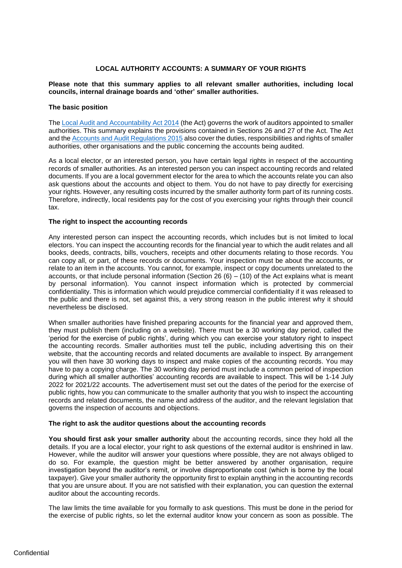### **LOCAL AUTHORITY ACCOUNTS: A SUMMARY OF YOUR RIGHTS**

#### **Please note that this summary applies to all relevant smaller authorities, including local councils, internal drainage boards and 'other' smaller authorities.**

#### **The basic position**

Th[e Local Audit and Accountability Act 2014](http://www.legislation.gov.uk/ukpga/2014/2/contents) (the Act) governs the work of auditors appointed to smaller authorities. This summary explains the provisions contained in Sections 26 and 27 of the Act. The Act and the [Accounts and Audit Regulations 2015](http://www.legislation.gov.uk/uksi/2015/234/contents/made) also cover the duties, responsibilities and rights of smaller authorities, other organisations and the public concerning the accounts being audited.

As a local elector, or an interested person, you have certain legal rights in respect of the accounting records of smaller authorities. As an interested person you can inspect accounting records and related documents. If you are a local government elector for the area to which the accounts relate you can also ask questions about the accounts and object to them. You do not have to pay directly for exercising your rights. However, any resulting costs incurred by the smaller authority form part of its running costs. Therefore, indirectly, local residents pay for the cost of you exercising your rights through their council tax.

#### **The right to inspect the accounting records**

Any interested person can inspect the accounting records, which includes but is not limited to local electors. You can inspect the accounting records for the financial year to which the audit relates and all books, deeds, contracts, bills, vouchers, receipts and other documents relating to those records. You can copy all, or part, of these records or documents. Your inspection must be about the accounts, or relate to an item in the accounts. You cannot, for example, inspect or copy documents unrelated to the accounts, or that include personal information (Section 26  $(6) - (10)$  of the Act explains what is meant by personal information). You cannot inspect information which is protected by commercial confidentiality. This is information which would prejudice commercial confidentiality if it was released to the public and there is not, set against this, a very strong reason in the public interest why it should nevertheless be disclosed.

When smaller authorities have finished preparing accounts for the financial year and approved them, they must publish them (including on a website). There must be a 30 working day period, called the 'period for the exercise of public rights', during which you can exercise your statutory right to inspect the accounting records. Smaller authorities must tell the public, including advertising this on their website, that the accounting records and related documents are available to inspect. By arrangement you will then have 30 working days to inspect and make copies of the accounting records. You may have to pay a copying charge. The 30 working day period must include a common period of inspection during which all smaller authorities' accounting records are available to inspect. This will be 1-14 July 2022 for 2021/22 accounts. The advertisement must set out the dates of the period for the exercise of public rights, how you can communicate to the smaller authority that you wish to inspect the accounting records and related documents, the name and address of the auditor, and the relevant legislation that governs the inspection of accounts and objections.

#### **The right to ask the auditor questions about the accounting records**

**You should first ask your smaller authority** about the accounting records, since they hold all the details. If you are a local elector, your right to ask questions of the external auditor is enshrined in law. However, while the auditor will answer your questions where possible, they are not always obliged to do so. For example, the question might be better answered by another organisation, require investigation beyond the auditor's remit, or involve disproportionate cost (which is borne by the local taxpayer). Give your smaller authority the opportunity first to explain anything in the accounting records that you are unsure about. If you are not satisfied with their explanation, you can question the external auditor about the accounting records.

The law limits the time available for you formally to ask questions. This must be done in the period for the exercise of public rights, so let the external auditor know your concern as soon as possible. The